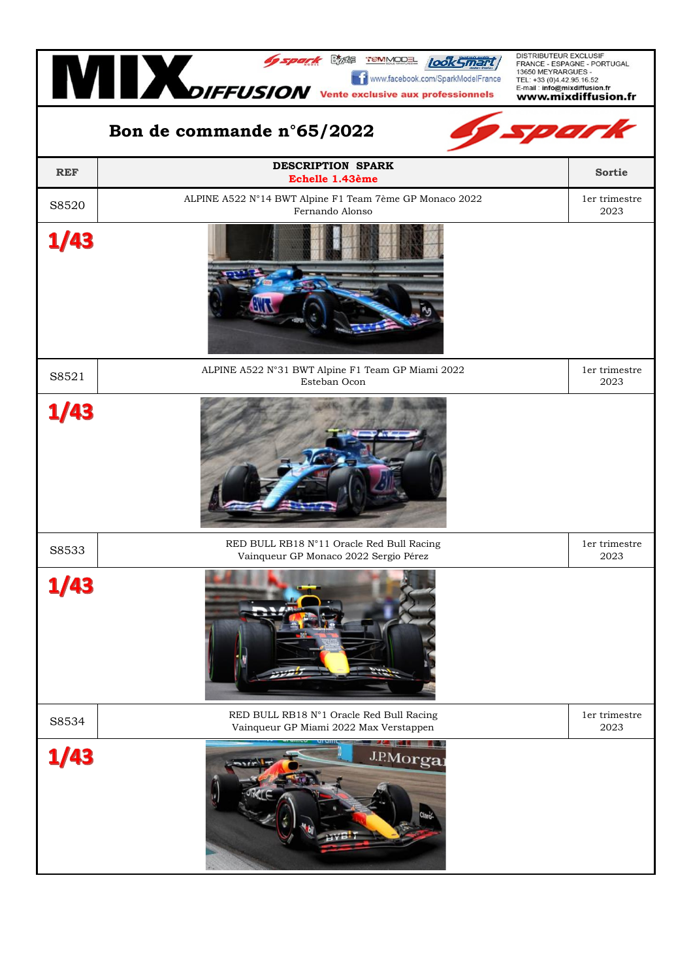| DISTRIBUTEUR EXCLUSIF<br>Jospark Chas TEMMODE look Smart<br>FRANCE - ESPAGNE - PORTUGAL<br>The COKS METURION TENSION Vente exclusive aux professionnels<br>13650 MEYRARGUES -<br>Ti www.facebook.com/SparkModelFrance<br>TEL: +33 (0)4.42.95.16.52<br>E-mail: info@mixdiffusion.fr<br>www.mixdiffusion.fr |                                                                                    |                       |  |  |
|-----------------------------------------------------------------------------------------------------------------------------------------------------------------------------------------------------------------------------------------------------------------------------------------------------------|------------------------------------------------------------------------------------|-----------------------|--|--|
| spark<br>Bon de commande n°65/2022                                                                                                                                                                                                                                                                        |                                                                                    |                       |  |  |
| <b>REF</b>                                                                                                                                                                                                                                                                                                | <b>DESCRIPTION SPARK</b><br>Echelle 1.43ème                                        | <b>Sortie</b>         |  |  |
| S8520                                                                                                                                                                                                                                                                                                     | ALPINE A522 N°14 BWT Alpine F1 Team 7ème GP Monaco 2022<br>Fernando Alonso         | 1er trimestre<br>2023 |  |  |
| /43                                                                                                                                                                                                                                                                                                       |                                                                                    |                       |  |  |
| S8521                                                                                                                                                                                                                                                                                                     | ALPINE A522 N°31 BWT Alpine F1 Team GP Miami 2022<br>Esteban Ocon                  | 1er trimestre<br>2023 |  |  |
| /43                                                                                                                                                                                                                                                                                                       |                                                                                    |                       |  |  |
| S8533                                                                                                                                                                                                                                                                                                     | RED BULL RB18 N°11 Oracle Red Bull Racing<br>Vainqueur GP Monaco 2022 Sergio Pérez | 1er trimestre<br>2023 |  |  |
| 1/43                                                                                                                                                                                                                                                                                                      |                                                                                    |                       |  |  |
| S8534                                                                                                                                                                                                                                                                                                     | RED BULL RB18 N°1 Oracle Red Bull Racing<br>Vainqueur GP Miami 2022 Max Verstappen | 1er trimestre<br>2023 |  |  |
| 1/43                                                                                                                                                                                                                                                                                                      | J.P.Morgar                                                                         |                       |  |  |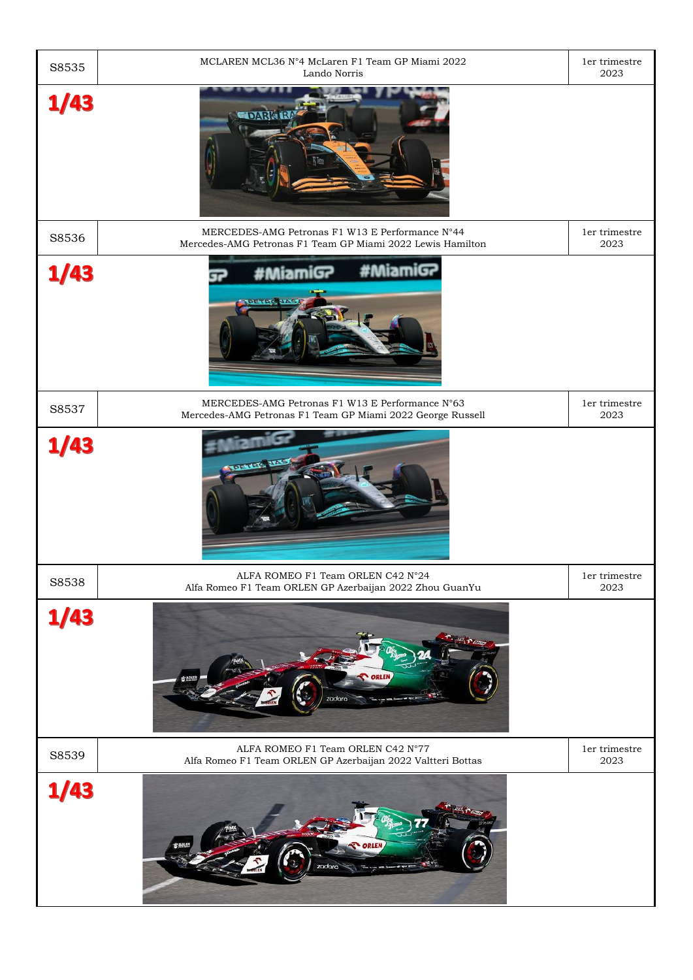| S8535 | MCLAREN MCL36 N°4 McLaren F1 Team GP Miami 2022<br>Lando Norris                                               | 1er trimestre<br>2023 |
|-------|---------------------------------------------------------------------------------------------------------------|-----------------------|
| 1/43  | <b>LDARK R</b>                                                                                                |                       |
| S8536 | MERCEDES-AMG Petronas F1 W13 E Performance N°44<br>Mercedes-AMG Petronas F1 Team GP Miami 2022 Lewis Hamilton | 1er trimestre<br>2023 |
| 1/43  | #MiamiGP<br>#MiamiG?                                                                                          |                       |
| S8537 | MERCEDES-AMG Petronas F1 W13 E Performance N°63<br>Mercedes-AMG Petronas F1 Team GP Miami 2022 George Russell | 1er trimestre<br>2023 |
| 1/43  | <b>TELEVISION</b>                                                                                             |                       |
| S8538 | ALFA ROMEO F1 Team ORLEN C42 N°24<br>Alfa Romeo F1 Team ORLEN GP Azerbaijan 2022 Zhou GuanYu                  | 1er trimestre<br>2023 |
| /43   | zadara                                                                                                        |                       |
| S8539 | ALFA ROMEO F1 Team ORLEN C42 N°77<br>Alfa Romeo F1 Team ORLEN GP Azerbaijan 2022 Valtteri Bottas              | 1er trimestre<br>2023 |
| 1/43  | zadara                                                                                                        |                       |